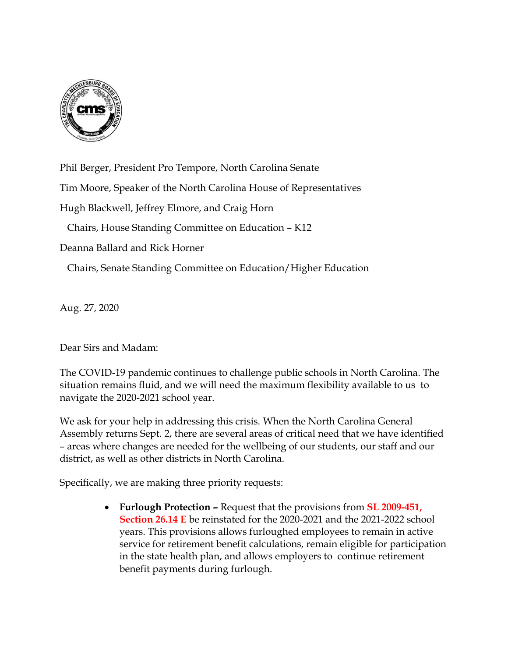

Phil Berger, President Pro Tempore, North Carolina Senate Tim Moore, Speaker of the North Carolina House of Representatives Hugh Blackwell, Jeffrey Elmore, and Craig Horn Chairs, House Standing Committee on Education – K12 Deanna Ballard and Rick Horner

Chairs, Senate Standing Committee on Education/Higher Education

Aug. 27, 2020

Dear Sirs and Madam:

The COVID-19 pandemic continues to challenge public schools in North Carolina. The situation remains fluid, and we will need the maximum flexibility available to us to navigate the 2020-2021 school year.

We ask for your help in addressing this crisis. When the North Carolina General Assembly returns Sept. 2, there are several areas of critical need that we have identified – areas where changes are needed for the wellbeing of our students, our staff and our district, as well as other districts in North Carolina.

Specifically, we are making three priority requests:

• **Furlough Protection –** Request that the provisions from **SL 2009-451, Section 26.14 E** be reinstated for the 2020-2021 and the 2021-2022 school years. This provisions allows furloughed employees to remain in active service for retirement benefit calculations, remain eligible for participation in the state health plan, and allows employers to continue retirement benefit payments during furlough.